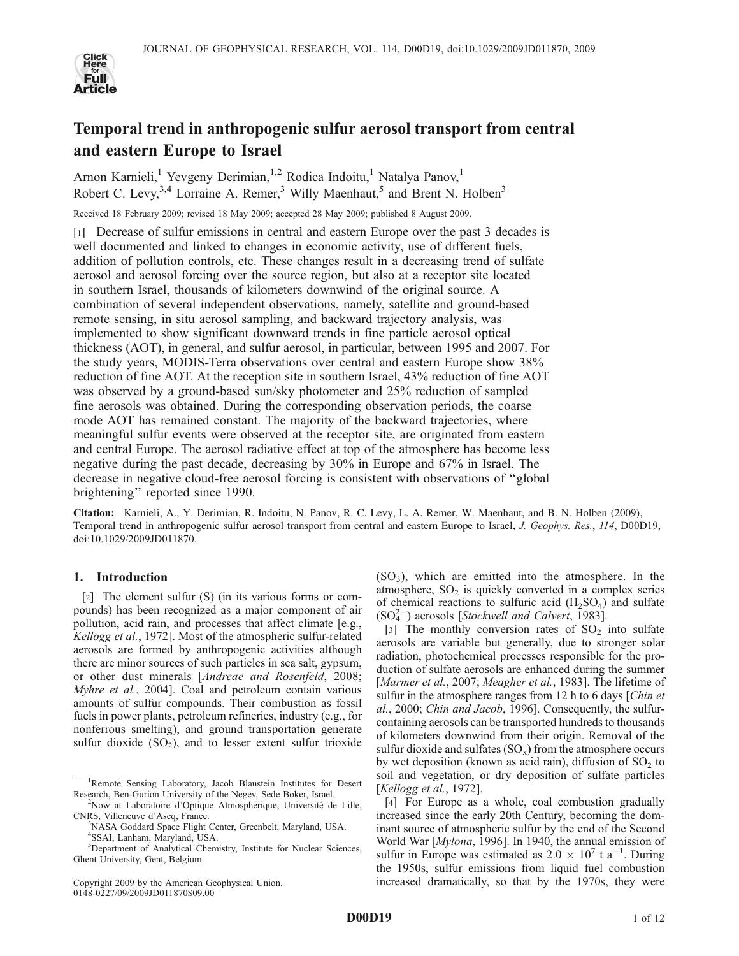

# Temporal trend in anthropogenic sulfur aerosol transport from central and eastern Europe to Israel

Arnon Karnieli,<sup>1</sup> Yevgeny Derimian,<sup>1,2</sup> Rodica Indoitu,<sup>1</sup> Natalya Panov,<sup>1</sup> Robert C. Levy,<sup>3,4</sup> Lorraine A. Remer,<sup>3</sup> Willy Maenhaut,<sup>5</sup> and Brent N. Holben<sup>3</sup>

Received 18 February 2009; revised 18 May 2009; accepted 28 May 2009; published 8 August 2009.

[1] Decrease of sulfur emissions in central and eastern Europe over the past 3 decades is well documented and linked to changes in economic activity, use of different fuels, addition of pollution controls, etc. These changes result in a decreasing trend of sulfate aerosol and aerosol forcing over the source region, but also at a receptor site located in southern Israel, thousands of kilometers downwind of the original source. A combination of several independent observations, namely, satellite and ground-based remote sensing, in situ aerosol sampling, and backward trajectory analysis, was implemented to show significant downward trends in fine particle aerosol optical thickness (AOT), in general, and sulfur aerosol, in particular, between 1995 and 2007. For the study years, MODIS-Terra observations over central and eastern Europe show 38% reduction of fine AOT. At the reception site in southern Israel, 43% reduction of fine AOT was observed by a ground-based sun/sky photometer and 25% reduction of sampled fine aerosols was obtained. During the corresponding observation periods, the coarse mode AOT has remained constant. The majority of the backward trajectories, where meaningful sulfur events were observed at the receptor site, are originated from eastern and central Europe. The aerosol radiative effect at top of the atmosphere has become less negative during the past decade, decreasing by 30% in Europe and 67% in Israel. The decrease in negative cloud-free aerosol forcing is consistent with observations of ''global brightening'' reported since 1990.

Citation: Karnieli, A., Y. Derimian, R. Indoitu, N. Panov, R. C. Levy, L. A. Remer, W. Maenhaut, and B. N. Holben (2009), Temporal trend in anthropogenic sulfur aerosol transport from central and eastern Europe to Israel, *J. Geophys. Res.*, *114*, D00D19, doi:10.1029/2009JD011870.

# 1. Introduction

[2] The element sulfur (S) (in its various forms or compounds) has been recognized as a major component of air pollution, acid rain, and processes that affect climate [e.g., *Kellogg et al.*, 1972]. Most of the atmospheric sulfur-related aerosols are formed by anthropogenic activities although there are minor sources of such particles in sea salt, gypsum, or other dust minerals [*Andreae and Rosenfeld*, 2008; *Myhre et al.*, 2004]. Coal and petroleum contain various amounts of sulfur compounds. Their combustion as fossil fuels in power plants, petroleum refineries, industry (e.g., for nonferrous smelting), and ground transportation generate sulfur dioxide  $(SO_2)$ , and to lesser extent sulfur trioxide

Copyright 2009 by the American Geophysical Union. 0148-0227/09/2009JD011870\$09.00

(SO<sup>3</sup> ), which are emitted into the atmosphere. In the atmosphere,  $SO<sub>2</sub>$  is quickly converted in a complex series of chemical reactions to sulfuric acid  $(H_2SO_4)$  and sulfate (SO<sup>4</sup> 2 ) aerosols [*Stockwell and Calvert*, 1983].

[3] The monthly conversion rates of  $SO_2$  into sulfate aerosols are variable but generally, due to stronger solar radiation, photochemical processes responsible for the production of sulfate aerosols are enhanced during the summer [*Marmer et al.*, 2007; *Meagher et al.*, 1983]. The lifetime of sulfur in the atmosphere ranges from 12 h to 6 days [*Chin et al.*, 2000; *Chin and Jacob*, 1996]. Consequently, the sulfurcontaining aerosols can be transported hundreds to thousands of kilometers downwind from their origin. Removal of the sulfur dioxide and sulfates  $(SO_x)$  from the atmosphere occurs by wet deposition (known as acid rain), diffusion of  $SO_2$  to soil and vegetation, or dry deposition of sulfate particles [*Kellogg et al.*, 1972].

[4] For Europe as a whole, coal combustion gradually increased since the early 20th Century, becoming the dominant source of atmospheric sulfur by the end of the Second World War [*Mylona*, 1996]. In 1940, the annual emission of sulfur in Europe was estimated as  $2.0 \times 10^7$  t a<sup>-1</sup>. During the 1950s, sulfur emissions from liquid fuel combustion increased dramatically, so that by the 1970s, they were

<sup>&</sup>lt;sup>1</sup>Remote Sensing Laboratory, Jacob Blaustein Institutes for Desert Research, Ben-Gurion University of the Negev, Sede Boker, Israel.

<sup>&</sup>lt;sup>2</sup>Now at Laboratoire d'Optique Atmosphérique, Université de Lille, CNRS, Villeneuve d'Ascq, France.

<sup>&</sup>lt;sup>3</sup>NASA Goddard Space Flight Center, Greenbelt, Maryland, USA. 4 SSAI, Lanham, Maryland, USA.

<sup>&</sup>lt;sup>5</sup>Department of Analytical Chemistry, Institute for Nuclear Sciences, Ghent University, Gent, Belgium.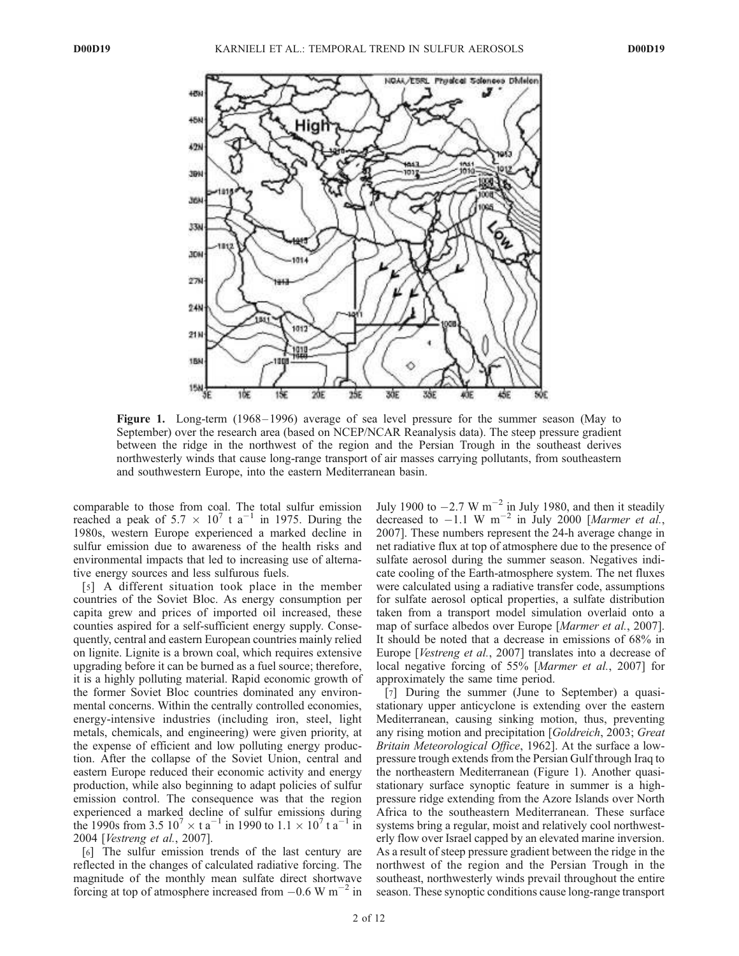

Figure 1. Long-term (1968– 1996) average of sea level pressure for the summer season (May to September) over the research area (based on NCEP/NCAR Reanalysis data). The steep pressure gradient between the ridge in the northwest of the region and the Persian Trough in the southeast derives northwesterly winds that cause long-range transport of air masses carrying pollutants, from southeastern and southwestern Europe, into the eastern Mediterranean basin.

comparable to those from coal. The total sulfur emission reached a peak of  $5.7 \times 10^7$  t a<sup>-1</sup> in 1975. During the 1980s, western Europe experienced a marked decline in sulfur emission due to awareness of the health risks and environmental impacts that led to increasing use of alternative energy sources and less sulfurous fuels.

[5] A different situation took place in the member countries of the Soviet Bloc. As energy consumption per capita grew and prices of imported oil increased, these counties aspired for a self-sufficient energy supply. Consequently, central and eastern European countries mainly relied on lignite. Lignite is a brown coal, which requires extensive upgrading before it can be burned as a fuel source; therefore, it is a highly polluting material. Rapid economic growth of the former Soviet Bloc countries dominated any environmental concerns. Within the centrally controlled economies, energy-intensive industries (including iron, steel, light metals, chemicals, and engineering) were given priority, at the expense of efficient and low polluting energy production. After the collapse of the Soviet Union, central and eastern Europe reduced their economic activity and energy production, while also beginning to adapt policies of sulfur emission control. The consequence was that the region experienced a marked decline of sulfur emissions during the 1990s from  $3.5 \times 10^7 \times \text{t a}^{-1}$  in 1990 to  $1.1 \times 10^7 \text{t a}^{-1}$  in 2004 [*Vestreng et al.*, 2007].

[6] The sulfur emission trends of the last century are reflected in the changes of calculated radiative forcing. The magnitude of the monthly mean sulfate direct shortwave forcing at top of atmosphere increased from  $-0.6$  W m<sup>-2</sup> in

July 1900 to  $-2.7 \text{ W m}^{-2}$  in July 1980, and then it steadily decreased to  $-1.1$  W m<sup>-2</sup> in July 2000 [*Marmer et al.*, 2007]. These numbers represent the 24-h average change in net radiative flux at top of atmosphere due to the presence of sulfate aerosol during the summer season. Negatives indicate cooling of the Earth-atmosphere system. The net fluxes were calculated using a radiative transfer code, assumptions for sulfate aerosol optical properties, a sulfate distribution taken from a transport model simulation overlaid onto a map of surface albedos over Europe [*Marmer et al.*, 2007]. It should be noted that a decrease in emissions of 68% in Europe [*Vestreng et al.*, 2007] translates into a decrease of local negative forcing of 55% [*Marmer et al.*, 2007] for approximately the same time period.

[7] During the summer (June to September) a quasistationary upper anticyclone is extending over the eastern Mediterranean, causing sinking motion, thus, preventing any rising motion and precipitation [*Goldreich*, 2003; *Great Britain Meteorological Office*, 1962]. At the surface a lowpressure trough extends from the Persian Gulf through Iraq to the northeastern Mediterranean (Figure 1). Another quasistationary surface synoptic feature in summer is a highpressure ridge extending from the Azore Islands over North Africa to the southeastern Mediterranean. These surface systems bring a regular, moist and relatively cool northwesterly flow over Israel capped by an elevated marine inversion. As a result of steep pressure gradient between the ridge in the northwest of the region and the Persian Trough in the southeast, northwesterly winds prevail throughout the entire season. These synoptic conditions cause long-range transport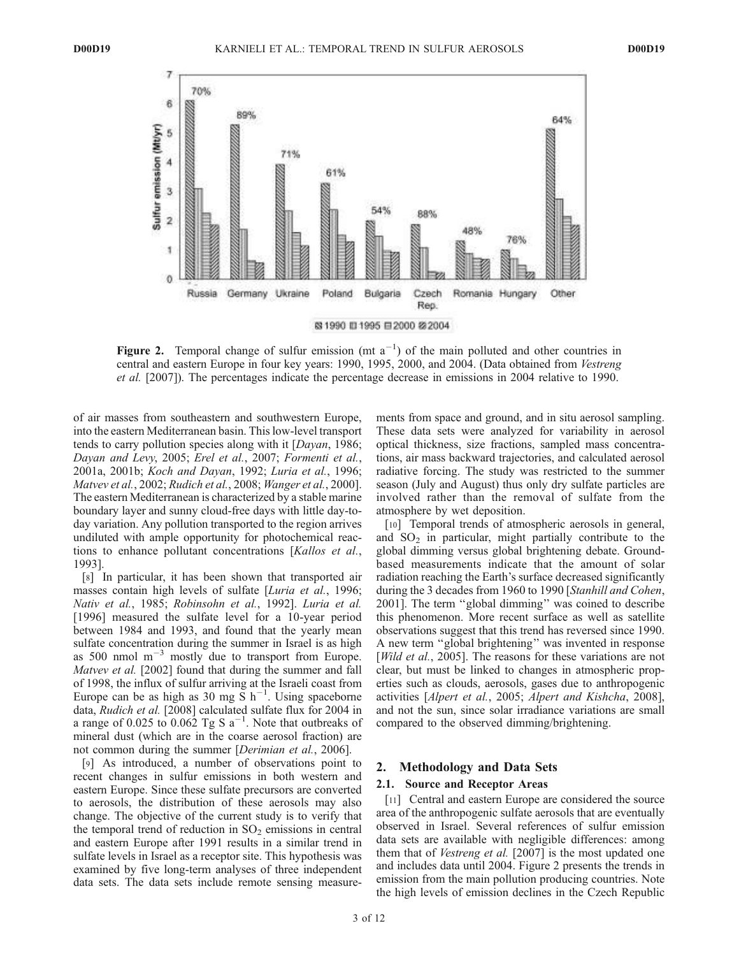

Figure 2. Temporal change of sulfur emission (mt  $a^{-1}$ ) of the main polluted and other countries in central and eastern Europe in four key years: 1990, 1995, 2000, and 2004. (Data obtained from *Vestreng et al.* [2007]). The percentages indicate the percentage decrease in emissions in 2004 relative to 1990.

of air masses from southeastern and southwestern Europe, into the eastern Mediterranean basin. This low-level transport tends to carry pollution species along with it [*Dayan*, 1986; *Dayan and Levy*, 2005; *Erel et al.*, 2007; *Formenti et al.*, 2001a, 2001b; *Koch and Dayan*, 1992; *Luria et al.*, 1996; *Matvev et al.*, 2002; *Rudich et al.*, 2008; *Wanger et al.*, 2000]. The eastern Mediterranean is characterized by a stable marine boundary layer and sunny cloud-free days with little day-today variation. Any pollution transported to the region arrives undiluted with ample opportunity for photochemical reactions to enhance pollutant concentrations [*Kallos et al.*, 1993].

[8] In particular, it has been shown that transported air masses contain high levels of sulfate [*Luria et al.*, 1996; *Nativ et al.*, 1985; *Robinsohn et al.*, 1992]. *Luria et al.* [1996] measured the sulfate level for a 10-year period between 1984 and 1993, and found that the yearly mean sulfate concentration during the summer in Israel is as high as 500 nmol  $m^{-3}$  mostly due to transport from Europe. *Matvev et al.* [2002] found that during the summer and fall of 1998, the influx of sulfur arriving at the Israeli coast from Europe can be as high as  $30 \text{ mg } \text{S h}^{-1}$ . Using spaceborne data, *Rudich et al.* [2008] calculated sulfate flux for 2004 in a range of  $0.025$  to  $0.062$  Tg S  $a^{-1}$ . Note that outbreaks of mineral dust (which are in the coarse aerosol fraction) are not common during the summer [*Derimian et al.*, 2006].

[9] As introduced, a number of observations point to recent changes in sulfur emissions in both western and eastern Europe. Since these sulfate precursors are converted to aerosols, the distribution of these aerosols may also change. The objective of the current study is to verify that the temporal trend of reduction in  $SO<sub>2</sub>$  emissions in central and eastern Europe after 1991 results in a similar trend in sulfate levels in Israel as a receptor site. This hypothesis was examined by five long-term analyses of three independent data sets. The data sets include remote sensing measurements from space and ground, and in situ aerosol sampling. These data sets were analyzed for variability in aerosol optical thickness, size fractions, sampled mass concentrations, air mass backward trajectories, and calculated aerosol radiative forcing. The study was restricted to the summer season (July and August) thus only dry sulfate particles are involved rather than the removal of sulfate from the atmosphere by wet deposition.

[10] Temporal trends of atmospheric aerosols in general, and  $SO<sub>2</sub>$  in particular, might partially contribute to the global dimming versus global brightening debate. Groundbased measurements indicate that the amount of solar radiation reaching the Earth's surface decreased significantly during the 3 decades from 1960 to 1990 [*Stanhill and Cohen*, 2001]. The term ''global dimming'' was coined to describe this phenomenon. More recent surface as well as satellite observations suggest that this trend has reversed since 1990. A new term ''global brightening'' was invented in response [*Wild et al.*, 2005]. The reasons for these variations are not clear, but must be linked to changes in atmospheric properties such as clouds, aerosols, gases due to anthropogenic activities [*Alpert et al.*, 2005; *Alpert and Kishcha*, 2008], and not the sun, since solar irradiance variations are small compared to the observed dimming/brightening.

#### 2. Methodology and Data Sets

## 2.1. Source and Receptor Areas

[11] Central and eastern Europe are considered the source area of the anthropogenic sulfate aerosols that are eventually observed in Israel. Several references of sulfur emission data sets are available with negligible differences: among them that of *Vestreng et al.* [2007] is the most updated one and includes data until 2004. Figure 2 presents the trends in emission from the main pollution producing countries. Note the high levels of emission declines in the Czech Republic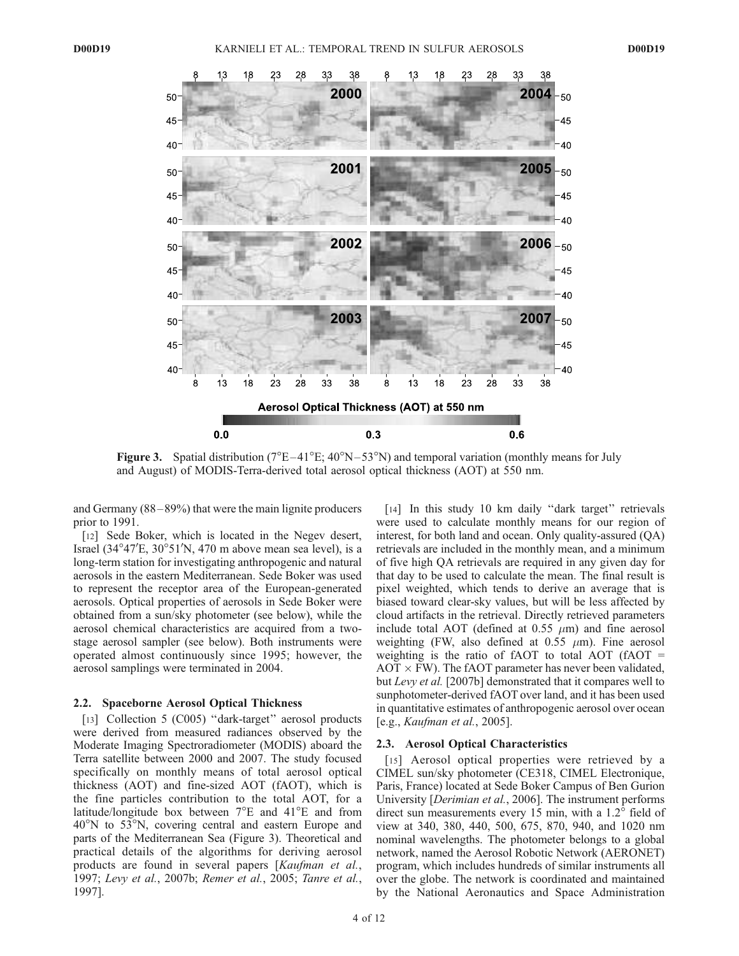

Figure 3. Spatial distribution ( $7^{\circ}E-41^{\circ}E$ ;  $40^{\circ}N-53^{\circ}N$ ) and temporal variation (monthly means for July and August) of MODIS-Terra-derived total aerosol optical thickness (AOT) at 550 nm.

and Germany (88 – 89%) that were the main lignite producers prior to 1991.

[12] Sede Boker, which is located in the Negev desert, Israel  $(34^{\circ}47^{\prime}E, 30^{\circ}51^{\prime}N, 470$  m above mean sea level), is a long-term station for investigating anthropogenic and natural aerosols in the eastern Mediterranean. Sede Boker was used to represent the receptor area of the European-generated aerosols. Optical properties of aerosols in Sede Boker were obtained from a sun/sky photometer (see below), while the aerosol chemical characteristics are acquired from a twostage aerosol sampler (see below). Both instruments were operated almost continuously since 1995; however, the aerosol samplings were terminated in 2004.

#### 2.2. Spaceborne Aerosol Optical Thickness

[13] Collection 5 (C005) "dark-target" aerosol products were derived from measured radiances observed by the Moderate Imaging Spectroradiometer (MODIS) aboard the Terra satellite between 2000 and 2007. The study focused specifically on monthly means of total aerosol optical thickness (AOT) and fine-sized AOT (fAOT), which is the fine particles contribution to the total AOT, for a latitude/longitude box between  $7^{\circ}E$  and  $41^{\circ}E$  and from  $40^{\circ}$ N to 53 $^{\circ}$ N, covering central and eastern Europe and parts of the Mediterranean Sea (Figure 3). Theoretical and practical details of the algorithms for deriving aerosol products are found in several papers [*Kaufman et al.*, 1997; *Levy et al.*, 2007b; *Remer et al.*, 2005; *Tanre et al.*, 1997].

[14] In this study 10 km daily "dark target" retrievals were used to calculate monthly means for our region of interest, for both land and ocean. Only quality-assured (QA) retrievals are included in the monthly mean, and a minimum of five high QA retrievals are required in any given day for that day to be used to calculate the mean. The final result is pixel weighted, which tends to derive an average that is biased toward clear-sky values, but will be less affected by cloud artifacts in the retrieval. Directly retrieved parameters include total AOT (defined at 0.55  $\mu$ m) and fine aerosol weighting (FW, also defined at  $0.55 \mu m$ ). Fine aerosol weighting is the ratio of fAOT to total AOT (fAOT =  $AOT \times FW$ ). The fAOT parameter has never been validated, but *Levy et al.* [2007b] demonstrated that it compares well to sunphotometer-derived fAOT over land, and it has been used in quantitative estimates of anthropogenic aerosol over ocean [e.g., *Kaufman et al.*, 2005].

## 2.3. Aerosol Optical Characteristics

[15] Aerosol optical properties were retrieved by a CIMEL sun/sky photometer (CE318, CIMEL Electronique, Paris, France) located at Sede Boker Campus of Ben Gurion University [*Derimian et al.*, 2006]. The instrument performs direct sun measurements every 15 min, with a  $1.2^{\circ}$  field of view at 340, 380, 440, 500, 675, 870, 940, and 1020 nm nominal wavelengths. The photometer belongs to a global network, named the Aerosol Robotic Network (AERONET) program, which includes hundreds of similar instruments all over the globe. The network is coordinated and maintained by the National Aeronautics and Space Administration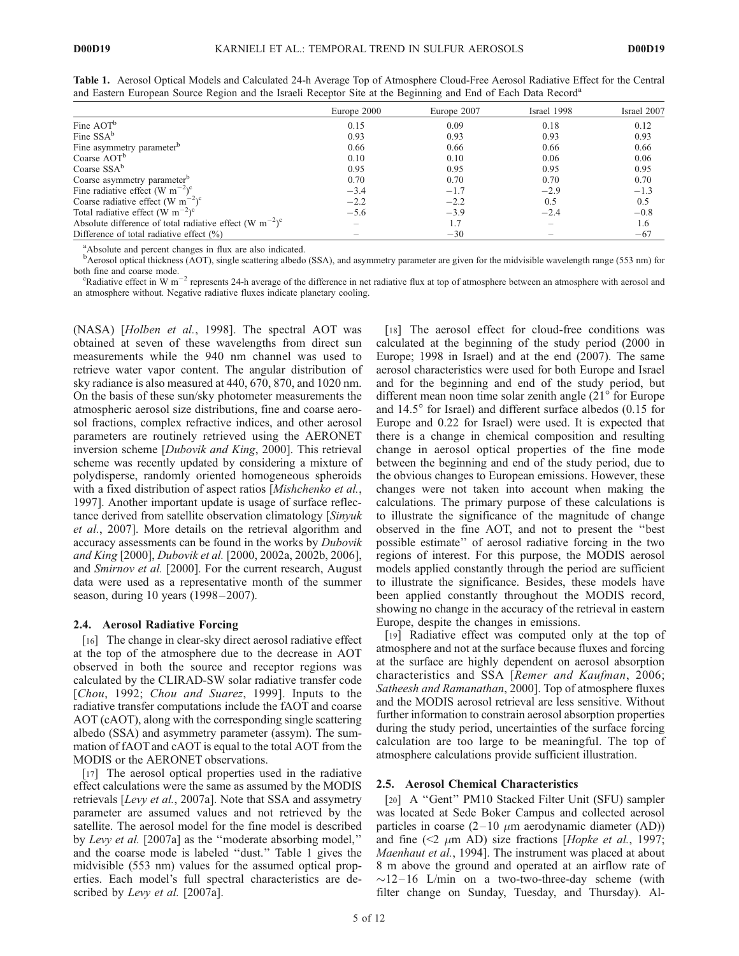|                                                                                                                      | Europe 2000 | Europe 2007 | Israel 1998              | Israel 2007 |
|----------------------------------------------------------------------------------------------------------------------|-------------|-------------|--------------------------|-------------|
| Fine AOT <sup>b</sup>                                                                                                | 0.15        | 0.09        | 0.18                     | 0.12        |
| Fine SSA <sup>b</sup>                                                                                                | 0.93        | 0.93        | 0.93                     | 0.93        |
| Fine asymmetry parameter <sup>b</sup>                                                                                | 0.66        | 0.66        | 0.66                     | 0.66        |
| Coarse AOT <sup>b</sup>                                                                                              | 0.10        | 0.10        | 0.06                     | 0.06        |
| Coarse SSA <sup>b</sup>                                                                                              | 0.95        | 0.95        | 0.95                     | 0.95        |
| Coarse asymmetry parameter <sup>b</sup>                                                                              | 0.70        | 0.70        | 0.70                     | 0.70        |
|                                                                                                                      | $-3.4$      | $-1.7$      | $-2.9$                   | $-1.3$      |
| Fine radiative effect (W m <sup>-2</sup> ) <sup>c</sup><br>Coarse radiative effect (W m <sup>-2</sup> ) <sup>c</sup> | $-2.2$      | $-2.2$      | 0.5                      | 0.5         |
| Total radiative effect (W m <sup>-2</sup> ) <sup>c</sup>                                                             | $-5.6$      | $-3.9$      | $-2.4$                   | $-0.8$      |
| Absolute difference of total radiative effect (W m <sup>-2</sup> ) <sup>c</sup>                                      |             | 1.7         | $\overline{\phantom{a}}$ | 1.6         |
| Difference of total radiative effect $(\%)$                                                                          |             | $-30$       | $\overline{\phantom{a}}$ | $-67$       |

Table 1. Aerosol Optical Models and Calculated 24-h Average Top of Atmosphere Cloud-Free Aerosol Radiative Effect for the Central and Eastern European Source Region and the Israeli Receptor Site at the Beginning and End of Each Data Record<sup>a</sup>

<sup>a</sup>Absolute and percent changes in flux are also indicated.

<sup>b</sup>Aerosol optical thickness (AOT), single scattering albedo (SSA), and asymmetry parameter are given for the midvisible wavelength range (553 nm) for both fine and coarse mode.

" In the and collie model."<br>"Radiative effect in W m<sup>-2</sup> represents 24-h average of the difference in net radiative flux at top of atmosphere between an atmosphere with aerosol and an atmosphere without. Negative radiative fluxes indicate planetary cooling.

(NASA) [*Holben et al.*, 1998]. The spectral AOT was obtained at seven of these wavelengths from direct sun measurements while the 940 nm channel was used to retrieve water vapor content. The angular distribution of sky radiance is also measured at 440, 670, 870, and 1020 nm. On the basis of these sun/sky photometer measurements the atmospheric aerosol size distributions, fine and coarse aerosol fractions, complex refractive indices, and other aerosol parameters are routinely retrieved using the AERONET inversion scheme [*Dubovik and King*, 2000]. This retrieval scheme was recently updated by considering a mixture of polydisperse, randomly oriented homogeneous spheroids with a fixed distribution of aspect ratios [*Mishchenko et al.*, 1997]. Another important update is usage of surface reflectance derived from satellite observation climatology [*Sinyuk et al.*, 2007]. More details on the retrieval algorithm and accuracy assessments can be found in the works by *Dubovik and King* [2000], *Dubovik et al.* [2000, 2002a, 2002b, 2006], and *Smirnov et al.* [2000]. For the current research, August data were used as a representative month of the summer season, during 10 years (1998–2007).

## 2.4. Aerosol Radiative Forcing

[16] The change in clear-sky direct aerosol radiative effect at the top of the atmosphere due to the decrease in AOT observed in both the source and receptor regions was calculated by the CLIRAD-SW solar radiative transfer code [*Chou*, 1992; *Chou and Suarez*, 1999]. Inputs to the radiative transfer computations include the fAOT and coarse AOT (cAOT), along with the corresponding single scattering albedo (SSA) and asymmetry parameter (assym). The summation of fAOT and cAOT is equal to the total AOT from the MODIS or the AERONET observations.

[17] The aerosol optical properties used in the radiative effect calculations were the same as assumed by the MODIS retrievals [*Levy et al.*, 2007a]. Note that SSA and assymetry parameter are assumed values and not retrieved by the satellite. The aerosol model for the fine model is described by *Levy et al.* [2007a] as the ''moderate absorbing model,'' and the coarse mode is labeled ''dust.'' Table 1 gives the midvisible (553 nm) values for the assumed optical properties. Each model's full spectral characteristics are described by *Levy et al.* [2007a].

[18] The aerosol effect for cloud-free conditions was calculated at the beginning of the study period (2000 in Europe; 1998 in Israel) and at the end (2007). The same aerosol characteristics were used for both Europe and Israel and for the beginning and end of the study period, but different mean noon time solar zenith angle  $(21^{\circ}$  for Europe and  $14.5^{\circ}$  for Israel) and different surface albedos (0.15 for Europe and 0.22 for Israel) were used. It is expected that there is a change in chemical composition and resulting change in aerosol optical properties of the fine mode between the beginning and end of the study period, due to the obvious changes to European emissions. However, these changes were not taken into account when making the calculations. The primary purpose of these calculations is to illustrate the significance of the magnitude of change observed in the fine AOT, and not to present the ''best possible estimate'' of aerosol radiative forcing in the two regions of interest. For this purpose, the MODIS aerosol models applied constantly through the period are sufficient to illustrate the significance. Besides, these models have been applied constantly throughout the MODIS record, showing no change in the accuracy of the retrieval in eastern Europe, despite the changes in emissions.

[19] Radiative effect was computed only at the top of atmosphere and not at the surface because fluxes and forcing at the surface are highly dependent on aerosol absorption characteristics and SSA [*Remer and Kaufman*, 2006; *Satheesh and Ramanathan*, 2000]. Top of atmosphere fluxes and the MODIS aerosol retrieval are less sensitive. Without further information to constrain aerosol absorption properties during the study period, uncertainties of the surface forcing calculation are too large to be meaningful. The top of atmosphere calculations provide sufficient illustration.

#### 2.5. Aerosol Chemical Characteristics

[20] A ''Gent'' PM10 Stacked Filter Unit (SFU) sampler was located at Sede Boker Campus and collected aerosol particles in coarse  $(2-10 \mu m$  aerodynamic diameter (AD)) and fine  $(\leq 2 \mu m \text{ AD})$  size fractions [*Hopke et al.*, 1997; *Maenhaut et al.*, 1994]. The instrument was placed at about 8 m above the ground and operated at an airflow rate of  $\sim$ 12–16 L/min on a two-two-three-day scheme (with filter change on Sunday, Tuesday, and Thursday). Al-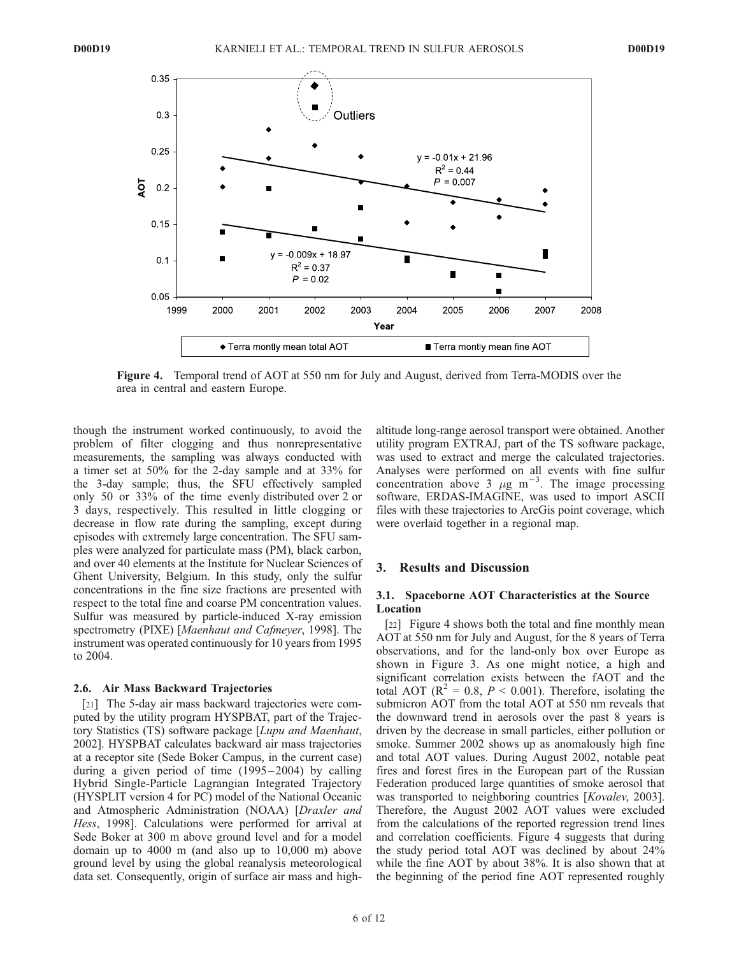

Figure 4. Temporal trend of AOT at 550 nm for July and August, derived from Terra-MODIS over the area in central and eastern Europe.

though the instrument worked continuously, to avoid the problem of filter clogging and thus nonrepresentative measurements, the sampling was always conducted with a timer set at 50% for the 2-day sample and at 33% for the 3-day sample; thus, the SFU effectively sampled only 50 or 33% of the time evenly distributed over 2 or 3 days, respectively. This resulted in little clogging or decrease in flow rate during the sampling, except during episodes with extremely large concentration. The SFU samples were analyzed for particulate mass (PM), black carbon, and over 40 elements at the Institute for Nuclear Sciences of Ghent University, Belgium. In this study, only the sulfur concentrations in the fine size fractions are presented with respect to the total fine and coarse PM concentration values. Sulfur was measured by particle-induced X-ray emission spectrometry (PIXE) [*Maenhaut and Cafmeyer*, 1998]. The instrument was operated continuously for 10 years from 1995 to 2004.

#### 2.6. Air Mass Backward Trajectories

[21] The 5-day air mass backward trajectories were computed by the utility program HYSPBAT, part of the Trajectory Statistics (TS) software package [*Lupu and Maenhaut*, 2002]. HYSPBAT calculates backward air mass trajectories at a receptor site (Sede Boker Campus, in the current case) during a given period of time  $(1995-2004)$  by calling Hybrid Single-Particle Lagrangian Integrated Trajectory (HYSPLIT version 4 for PC) model of the National Oceanic and Atmospheric Administration (NOAA) [*Draxler and Hess*, 1998]. Calculations were performed for arrival at Sede Boker at 300 m above ground level and for a model domain up to 4000 m (and also up to 10,000 m) above ground level by using the global reanalysis meteorological data set. Consequently, origin of surface air mass and highaltitude long-range aerosol transport were obtained. Another utility program EXTRAJ, part of the TS software package, was used to extract and merge the calculated trajectories. Analyses were performed on all events with fine sulfur concentration above  $3 \mu g \text{ m}^{-3}$ . The image processing software, ERDAS-IMAGINE, was used to import ASCII files with these trajectories to ArcGis point coverage, which were overlaid together in a regional map.

## 3. Results and Discussion

## 3.1. Spaceborne AOT Characteristics at the Source Location

[22] Figure 4 shows both the total and fine monthly mean AOT at 550 nm for July and August, for the 8 years of Terra observations, and for the land-only box over Europe as shown in Figure 3. As one might notice, a high and significant correlation exists between the fAOT and the total AOT ( $\mathbb{R}^2 = 0.8$ ,  $P < 0.001$ ). Therefore, isolating the submicron AOT from the total AOT at 550 nm reveals that the downward trend in aerosols over the past 8 years is driven by the decrease in small particles, either pollution or smoke. Summer 2002 shows up as anomalously high fine and total AOT values. During August 2002, notable peat fires and forest fires in the European part of the Russian Federation produced large quantities of smoke aerosol that was transported to neighboring countries [*Kovalev*, 2003]. Therefore, the August 2002 AOT values were excluded from the calculations of the reported regression trend lines and correlation coefficients. Figure 4 suggests that during the study period total AOT was declined by about 24% while the fine AOT by about 38%. It is also shown that at the beginning of the period fine AOT represented roughly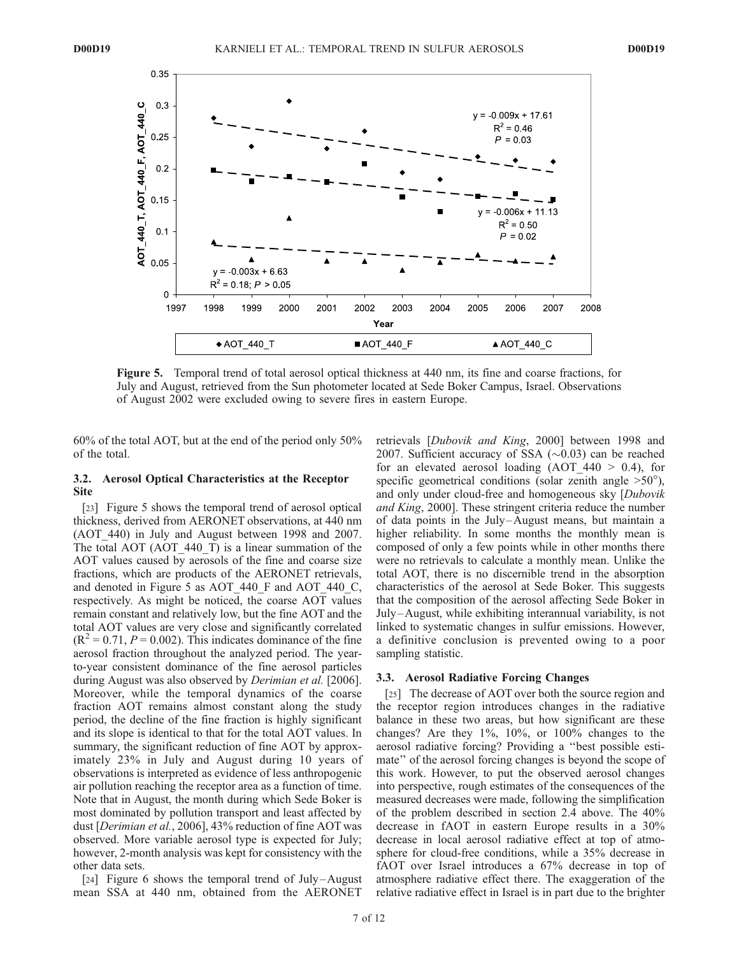

Figure 5. Temporal trend of total aerosol optical thickness at 440 nm, its fine and coarse fractions, for July and August, retrieved from the Sun photometer located at Sede Boker Campus, Israel. Observations of August 2002 were excluded owing to severe fires in eastern Europe.

60% of the total AOT, but at the end of the period only 50% of the total.

#### 3.2. Aerosol Optical Characteristics at the Receptor Site

[23] Figure 5 shows the temporal trend of aerosol optical thickness, derived from AERONET observations, at 440 nm (AOT\_440) in July and August between 1998 and 2007. The total AOT (AOT\_440\_T) is a linear summation of the AOT values caused by aerosols of the fine and coarse size fractions, which are products of the AERONET retrievals, and denoted in Figure 5 as AOT 440 F and AOT 440 C, respectively. As might be noticed, the coarse AOT values remain constant and relatively low, but the fine AOT and the total AOT values are very close and significantly correlated  $(R<sup>2</sup> = 0.71, P = 0.002)$ . This indicates dominance of the fine aerosol fraction throughout the analyzed period. The yearto-year consistent dominance of the fine aerosol particles during August was also observed by *Derimian et al.* [2006]. Moreover, while the temporal dynamics of the coarse fraction AOT remains almost constant along the study period, the decline of the fine fraction is highly significant and its slope is identical to that for the total AOT values. In summary, the significant reduction of fine AOT by approximately 23% in July and August during 10 years of observations is interpreted as evidence of less anthropogenic air pollution reaching the receptor area as a function of time. Note that in August, the month during which Sede Boker is most dominated by pollution transport and least affected by dust [*Derimian et al.*, 2006], 43% reduction of fine AOT was observed. More variable aerosol type is expected for July; however, 2-month analysis was kept for consistency with the other data sets.

[24] Figure 6 shows the temporal trend of July-August mean SSA at 440 nm, obtained from the AERONET retrievals [*Dubovik and King*, 2000] between 1998 and 2007. Sufficient accuracy of SSA  $(\sim 0.03)$  can be reached for an elevated aerosol loading  $(AOT 440 > 0.4)$ , for specific geometrical conditions (solar zenith angle  $>50^{\circ}$ ), and only under cloud-free and homogeneous sky [*Dubovik and King*, 2000]. These stringent criteria reduce the number of data points in the July –August means, but maintain a higher reliability. In some months the monthly mean is composed of only a few points while in other months there were no retrievals to calculate a monthly mean. Unlike the total AOT, there is no discernible trend in the absorption characteristics of the aerosol at Sede Boker. This suggests that the composition of the aerosol affecting Sede Boker in July –August, while exhibiting interannual variability, is not linked to systematic changes in sulfur emissions. However, a definitive conclusion is prevented owing to a poor sampling statistic.

#### 3.3. Aerosol Radiative Forcing Changes

[25] The decrease of AOT over both the source region and the receptor region introduces changes in the radiative balance in these two areas, but how significant are these changes? Are they 1%, 10%, or 100% changes to the aerosol radiative forcing? Providing a ''best possible estimate'' of the aerosol forcing changes is beyond the scope of this work. However, to put the observed aerosol changes into perspective, rough estimates of the consequences of the measured decreases were made, following the simplification of the problem described in section 2.4 above. The 40% decrease in fAOT in eastern Europe results in a 30% decrease in local aerosol radiative effect at top of atmosphere for cloud-free conditions, while a 35% decrease in fAOT over Israel introduces a 67% decrease in top of atmosphere radiative effect there. The exaggeration of the relative radiative effect in Israel is in part due to the brighter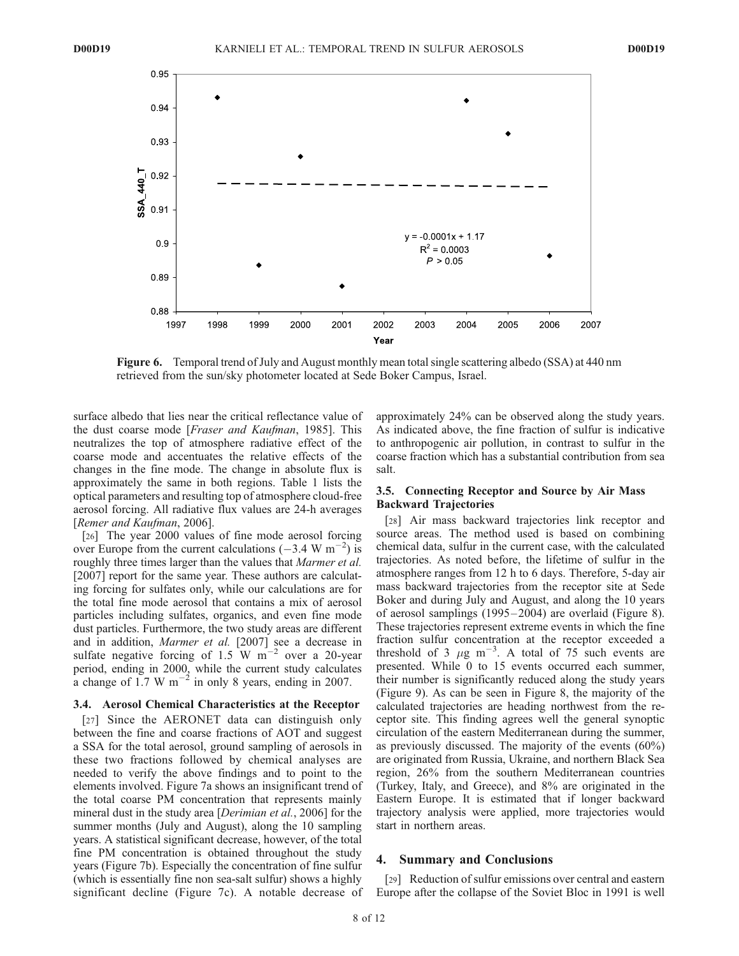

Figure 6. Temporal trend of July and August monthly mean total single scattering albedo (SSA) at 440 nm retrieved from the sun/sky photometer located at Sede Boker Campus, Israel.

surface albedo that lies near the critical reflectance value of the dust coarse mode [*Fraser and Kaufman*, 1985]. This neutralizes the top of atmosphere radiative effect of the coarse mode and accentuates the relative effects of the changes in the fine mode. The change in absolute flux is approximately the same in both regions. Table 1 lists the optical parameters and resulting top of atmosphere cloud-free aerosol forcing. All radiative flux values are 24-h averages [*Remer and Kaufman*, 2006].

[26] The year 2000 values of fine mode aerosol forcing over Europe from the current calculations  $(-3.4 \text{ W m}^{-2})$  is roughly three times larger than the values that *Marmer et al.* [2007] report for the same year. These authors are calculating forcing for sulfates only, while our calculations are for the total fine mode aerosol that contains a mix of aerosol particles including sulfates, organics, and even fine mode dust particles. Furthermore, the two study areas are different and in addition, *Marmer et al.* [2007] see a decrease in sulfate negative forcing of  $1.5 \text{ W m}^{-2}$  over a 20-year period, ending in 2000, while the current study calculates a change of 1.7 W  $\text{m}^{-2}$  in only 8 years, ending in 2007.

# 3.4. Aerosol Chemical Characteristics at the Receptor

[27] Since the AERONET data can distinguish only between the fine and coarse fractions of AOT and suggest a SSA for the total aerosol, ground sampling of aerosols in these two fractions followed by chemical analyses are needed to verify the above findings and to point to the elements involved. Figure 7a shows an insignificant trend of the total coarse PM concentration that represents mainly mineral dust in the study area [*Derimian et al.*, 2006] for the summer months (July and August), along the 10 sampling years. A statistical significant decrease, however, of the total fine PM concentration is obtained throughout the study years (Figure 7b). Especially the concentration of fine sulfur (which is essentially fine non sea-salt sulfur) shows a highly significant decline (Figure 7c). A notable decrease of

approximately 24% can be observed along the study years. As indicated above, the fine fraction of sulfur is indicative to anthropogenic air pollution, in contrast to sulfur in the coarse fraction which has a substantial contribution from sea salt.

# 3.5. Connecting Receptor and Source by Air Mass Backward Trajectories

[28] Air mass backward trajectories link receptor and source areas. The method used is based on combining chemical data, sulfur in the current case, with the calculated trajectories. As noted before, the lifetime of sulfur in the atmosphere ranges from 12 h to 6 days. Therefore, 5-day air mass backward trajectories from the receptor site at Sede Boker and during July and August, and along the 10 years of aerosol samplings (1995 – 2004) are overlaid (Figure 8). These trajectories represent extreme events in which the fine fraction sulfur concentration at the receptor exceeded a threshold of  $3 \mu g \text{ m}^{-3}$ . A total of 75 such events are presented. While 0 to 15 events occurred each summer, their number is significantly reduced along the study years (Figure 9). As can be seen in Figure 8, the majority of the calculated trajectories are heading northwest from the receptor site. This finding agrees well the general synoptic circulation of the eastern Mediterranean during the summer, as previously discussed. The majority of the events (60%) are originated from Russia, Ukraine, and northern Black Sea region, 26% from the southern Mediterranean countries (Turkey, Italy, and Greece), and 8% are originated in the Eastern Europe. It is estimated that if longer backward trajectory analysis were applied, more trajectories would start in northern areas.

#### 4. Summary and Conclusions

[29] Reduction of sulfur emissions over central and eastern Europe after the collapse of the Soviet Bloc in 1991 is well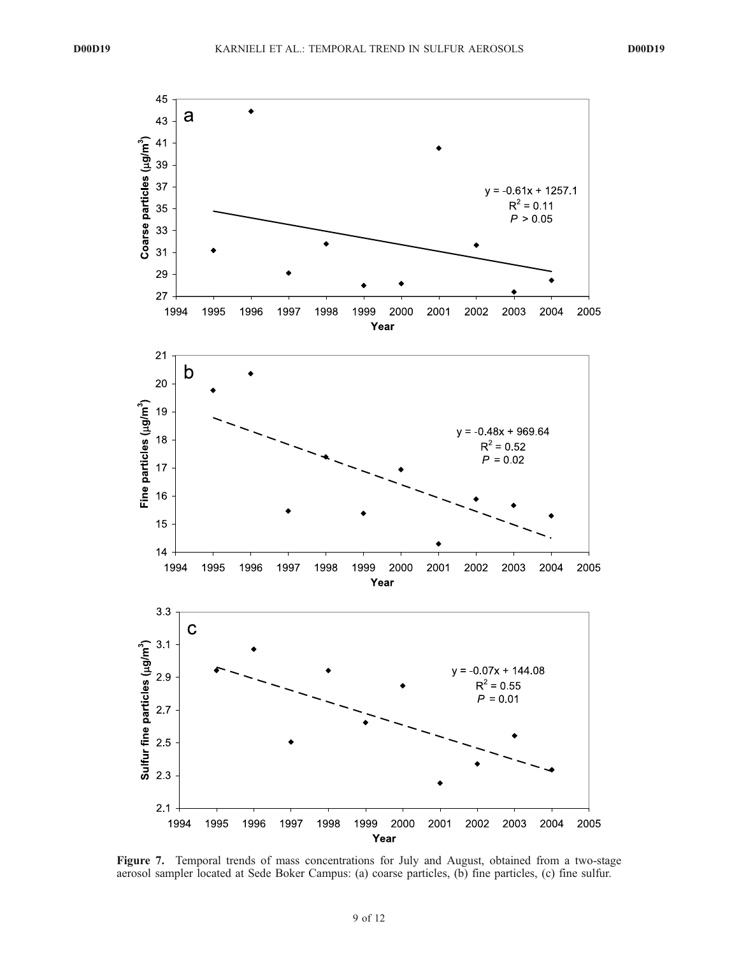

Figure 7. Temporal trends of mass concentrations for July and August, obtained from a two-stage aerosol sampler located at Sede Boker Campus: (a) coarse particles, (b) fine particles, (c) fine sulfur.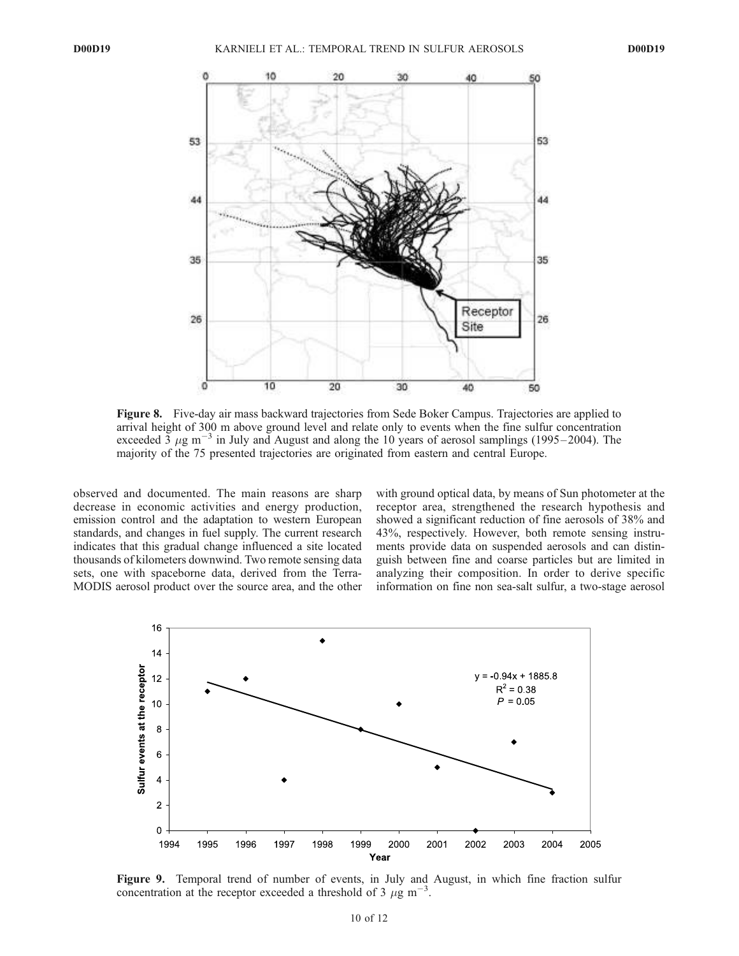

Figure 8. Five-day air mass backward trajectories from Sede Boker Campus. Trajectories are applied to arrival height of 300 m above ground level and relate only to events when the fine sulfur concentration  $\frac{1}{2}$  exceeded 3  $\mu$ g m<sup>-3</sup> in July and August and along the 10 years of aerosol samplings (1995–2004). The majority of the 75 presented trajectories are originated from eastern and central Europe.

observed and documented. The main reasons are sharp decrease in economic activities and energy production, emission control and the adaptation to western European standards, and changes in fuel supply. The current research indicates that this gradual change influenced a site located thousands of kilometers downwind. Two remote sensing data sets, one with spaceborne data, derived from the Terra-MODIS aerosol product over the source area, and the other with ground optical data, by means of Sun photometer at the receptor area, strengthened the research hypothesis and showed a significant reduction of fine aerosols of 38% and 43%, respectively. However, both remote sensing instruments provide data on suspended aerosols and can distinguish between fine and coarse particles but are limited in analyzing their composition. In order to derive specific information on fine non sea-salt sulfur, a two-stage aerosol



Figure 9. Temporal trend of number of events, in July and August, in which fine fraction sulfur concentration at the receptor exceeded a threshold of 3  $\mu$ g m<sup>-3</sup>.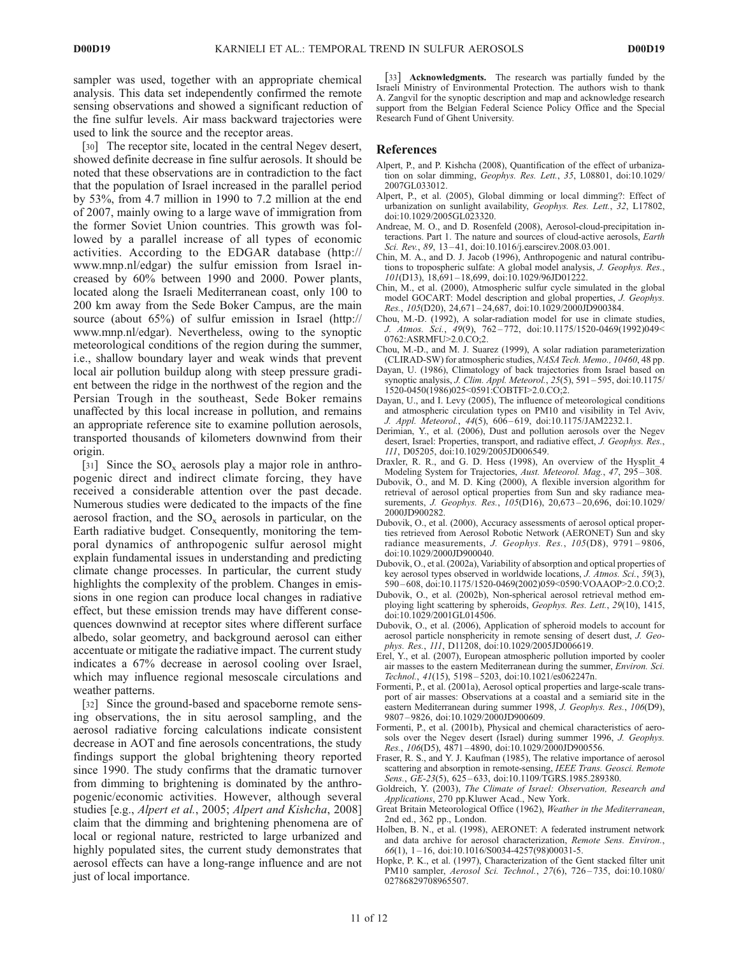sampler was used, together with an appropriate chemical analysis. This data set independently confirmed the remote sensing observations and showed a significant reduction of the fine sulfur levels. Air mass backward trajectories were used to link the source and the receptor areas.

[30] The receptor site, located in the central Negev desert, showed definite decrease in fine sulfur aerosols. It should be noted that these observations are in contradiction to the fact that the population of Israel increased in the parallel period by 53%, from 4.7 million in 1990 to 7.2 million at the end of 2007, mainly owing to a large wave of immigration from the former Soviet Union countries. This growth was followed by a parallel increase of all types of economic activities. According to the EDGAR database (http:// www.mnp.nl/edgar) the sulfur emission from Israel increased by 60% between 1990 and 2000. Power plants, located along the Israeli Mediterranean coast, only 100 to 200 km away from the Sede Boker Campus, are the main source (about 65%) of sulfur emission in Israel (http:// www.mnp.nl/edgar). Nevertheless, owing to the synoptic meteorological conditions of the region during the summer, i.e., shallow boundary layer and weak winds that prevent local air pollution buildup along with steep pressure gradient between the ridge in the northwest of the region and the Persian Trough in the southeast, Sede Boker remains unaffected by this local increase in pollution, and remains an appropriate reference site to examine pollution aerosols, transported thousands of kilometers downwind from their origin.

[31] Since the  $SO_x$  aerosols play a major role in anthropogenic direct and indirect climate forcing, they have received a considerable attention over the past decade. Numerous studies were dedicated to the impacts of the fine aerosol fraction, and the  $SO_x$  aerosols in particular, on the Earth radiative budget. Consequently, monitoring the temporal dynamics of anthropogenic sulfur aerosol might explain fundamental issues in understanding and predicting climate change processes. In particular, the current study highlights the complexity of the problem. Changes in emissions in one region can produce local changes in radiative effect, but these emission trends may have different consequences downwind at receptor sites where different surface albedo, solar geometry, and background aerosol can either accentuate or mitigate the radiative impact. The current study indicates a 67% decrease in aerosol cooling over Israel, which may influence regional mesoscale circulations and weather patterns.

[32] Since the ground-based and spaceborne remote sensing observations, the in situ aerosol sampling, and the aerosol radiative forcing calculations indicate consistent decrease in AOT and fine aerosols concentrations, the study findings support the global brightening theory reported since 1990. The study confirms that the dramatic turnover from dimming to brightening is dominated by the anthropogenic/economic activities. However, although several studies [e.g., *Alpert et al.*, 2005; *Alpert and Kishcha*, 2008] claim that the dimming and brightening phenomena are of local or regional nature, restricted to large urbanized and highly populated sites, the current study demonstrates that aerosol effects can have a long-range influence and are not just of local importance.

[33] Acknowledgments. The research was partially funded by the Israeli Ministry of Environmental Protection. The authors wish to thank A. Zangvil for the synoptic description and map and acknowledge research support from the Belgian Federal Science Policy Office and the Special Research Fund of Ghent University.

#### References

- Alpert, P., and P. Kishcha (2008), Quantification of the effect of urbanization on solar dimming, *Geophys. Res. Lett.*, *35*, L08801, doi:10.1029/ 2007GL033012.
- Alpert, P., et al. (2005), Global dimming or local dimming?: Effect of urbanization on sunlight availability, *Geophys. Res. Lett.*, *32*, L17802, doi:10.1029/2005GL023320.
- Andreae, M. O., and D. Rosenfeld (2008), Aerosol-cloud-precipitation interactions. Part 1. The nature and sources of cloud-active aerosols, *Earth Sci. Rev.*, 89, 13-41, doi:10.1016/j.earscirev.2008.03.001.
- Chin, M. A., and D. J. Jacob (1996), Anthropogenic and natural contributions to tropospheric sulfate: A global model analysis, *J. Geophys. Res.*, *101*(D13), 18,691 – 18,699, doi:10.1029/96JD01222.
- Chin, M., et al. (2000), Atmospheric sulfur cycle simulated in the global model GOCART: Model description and global properties, *J. Geophys. Res.*, *105*(D20), 24,671 – 24,687, doi:10.1029/2000JD900384.
- Chou, M.-D. (1992), A solar-radiation model for use in climate studies, *J. Atmos. Sci.*, *49*(9), 762 – 772, doi:10.1175/1520-0469(1992)049< 0762:ASRMFU>2.0.CO;2.
- Chou, M.-D., and M. J. Suarez (1999), A solar radiation parameterization (CLIRAD-SW) for atmospheric studies, *NASA Tech. Memo., 10460*, 48 pp.
- Dayan, U. (1986), Climatology of back trajectories from Israel based on synoptic analysis, *J. Clim. Appl. Meteorol.*, *25*(5), 591 – 595, doi:10.1175/ 1520-0450(1986)025<0591:COBTFI>2.0.CO;2.
- Dayan, U., and I. Levy (2005), The influence of meteorological conditions and atmospheric circulation types on PM10 and visibility in Tel Aviv, *J. Appl. Meteorol.*, *44*(5), 606 – 619, doi:10.1175/JAM2232.1.
- Derimian, Y., et al. (2006), Dust and pollution aerosols over the Negev desert, Israel: Properties, transport, and radiative effect, *J. Geophys. Res.*, *111*, D05205, doi:10.1029/2005JD006549.
- Draxler, R. R., and G. D. Hess (1998), An overview of the Hysplit\_4 Modeling System for Trajectories, *Aust. Meteorol. Mag.*, 47, 295–308.
- Dubovik, O., and M. D. King (2000), A flexible inversion algorithm for retrieval of aerosol optical properties from Sun and sky radiance measurements, *J. Geophys. Res.*, *105*(D16), 20,673 – 20,696, doi:10.1029/ 2000JD900282.
- Dubovik, O., et al. (2000), Accuracy assessments of aerosol optical properties retrieved from Aerosol Robotic Network (AERONET) Sun and sky radiance measurements, *J. Geophys. Res.*, *105*(D8), 9791 – 9806, doi:10.1029/2000JD900040.
- Dubovik, O., et al. (2002a), Variability of absorption and optical properties of key aerosol types observed in worldwide locations, *J. Atmos. Sci.*, *59*(3), 590 – 608, doi:10.1175/1520-0469(2002)059<0590:VOAAOP>2.0.CO;2.
- Dubovik, O., et al. (2002b), Non-spherical aerosol retrieval method employing light scattering by spheroids, *Geophys. Res. Lett.*, *29*(10), 1415, doi:10.1029/2001GL014506.
- Dubovik, O., et al. (2006), Application of spheroid models to account for aerosol particle nonsphericity in remote sensing of desert dust, *J. Geophys. Res.*, *111*, D11208, doi:10.1029/2005JD006619.
- Erel, Y., et al. (2007), European atmospheric pollution imported by cooler air masses to the eastern Mediterranean during the summer, *Environ. Sci. Technol.*, *41*(15), 5198 – 5203, doi:10.1021/es062247n.
- Formenti, P., et al. (2001a), Aerosol optical properties and large-scale transport of air masses: Observations at a coastal and a semiarid site in the eastern Mediterranean during summer 1998, *J. Geophys. Res.*, *106*(D9), 9807 – 9826, doi:10.1029/2000JD900609.
- Formenti, P., et al. (2001b), Physical and chemical characteristics of aerosols over the Negev desert (Israel) during summer 1996, *J. Geophys. Res.*, *106*(D5), 4871 – 4890, doi:10.1029/2000JD900556.
- Fraser, R. S., and Y. J. Kaufman (1985), The relative importance of aerosol scattering and absorption in remote-sensing, *IEEE Trans. Geosci. Remote Sens.*, *GE-23*(5), 625 – 633, doi:10.1109/TGRS.1985.289380.
- Goldreich, Y. (2003), *The Climate of Israel: Observation, Research and Applications*, 270 pp.Kluwer Acad., New York.
- Great Britain Meteorological Office (1962), *Weather in the Mediterranean*, 2nd ed., 362 pp., London.
- Holben, B. N., et al. (1998), AERONET: A federated instrument network and data archive for aerosol characterization, *Remote Sens. Environ.*, *66*(1), 1 – 16, doi:10.1016/S0034-4257(98)00031-5.
- Hopke, P. K., et al. (1997), Characterization of the Gent stacked filter unit PM10 sampler, *Aerosol Sci. Technol.*, *27*(6), 726 – 735, doi:10.1080/ 02786829708965507.